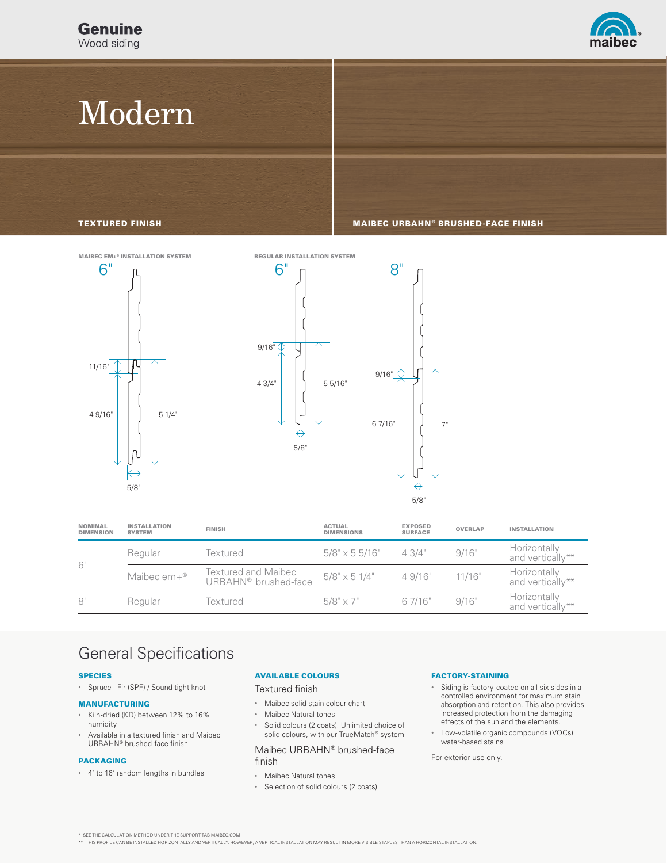

# Modern

TEXTURED FINISH MAIBEC URBAHN® BRUSHED-FACE FINISH





| <b>NOMINAL</b><br><b>DIMENSION</b> | <b>INSTALLATION</b><br><b>SYSTEM</b> | <b>FINISH</b>                                           | <b>ACTUAL</b><br><b>DIMENSIONS</b> | <b>EXPOSED</b><br><b>SURFACE</b> | <b>OVERLAP</b> | <b>INSTALLATION</b>              |
|------------------------------------|--------------------------------------|---------------------------------------------------------|------------------------------------|----------------------------------|----------------|----------------------------------|
| 6"                                 | Regular                              | Textured                                                | $5/8" \times 55/16"$               | 4.3/4"                           | 9/16"          | Horizontally<br>and vertically** |
|                                    | Maibec em+®                          | Textured and Maibec<br>URBAHN <sup>®</sup> brushed-face | $5/8" \times 51/4"$                | 4.9/16"                          | 11/16"         | Horizontally<br>and vertically** |
| $8^{\circ}$                        | Regular                              | Textured                                                | $5/8" \times 7"$                   | 6 7/16"                          | 9/16"          | Horizontally<br>and vertically** |

### General Specifications

### SPECIES

• Spruce - Fir (SPF) / Sound tight knot

#### MANUFACTURING

- Kiln-dried (KD) between 12% to 16% humidity
- Available in a textured finish and Maibec URBAHN® brushed-face finish

### PACKAGING

• 4' to 16' random lengths in bundles

### AVAILABLE COLOURS

Textured finish

- Maibec solid stain colour chart
- Maibec Natural tones
- Solid colours (2 coats). Unlimited choice of solid colours, with our TrueMatch® system

### Maibec URBAHN® brushed-face finish

- Maibec Natural tones
- Selection of solid colours (2 coats)

### FACTORY-STAINING

- Siding is factory-coated on all six sides in a controlled environment for maximum stain absorption and retention. This also provides increased protection from the damaging effects of the sun and the elements.
- Low-volatile organic compounds (VOCs) water-based stains

For exterior use only.

\* SEE THE CALCULATION METHOD UNDER THE SUPPORT TAB MAIBEC.COM

\*\* THIS PROFILE CAN BE INSTALLED HORIZONTALLY AND VERTICALLY. HOWEVER, A VERTICAL INSTALLATION MAY RESULT IN MORE VISIBLE STAPLES THAN A HORIZONTAL INSTALLATION.